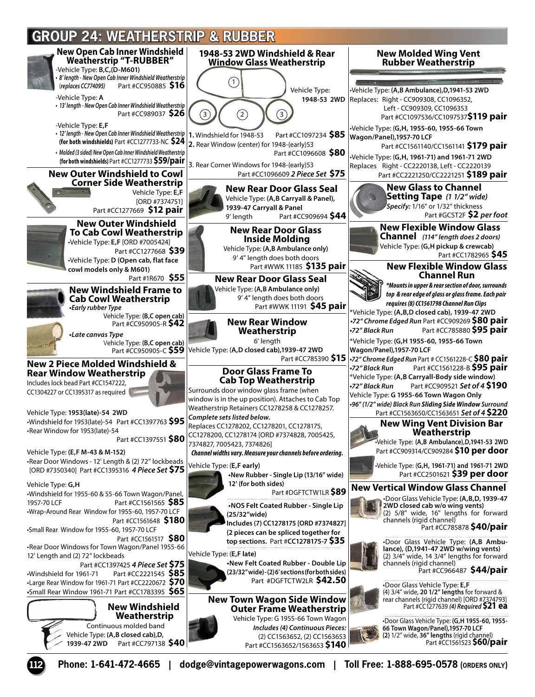## **GROUP 24: WEATHERSTRIP & RUBBER**

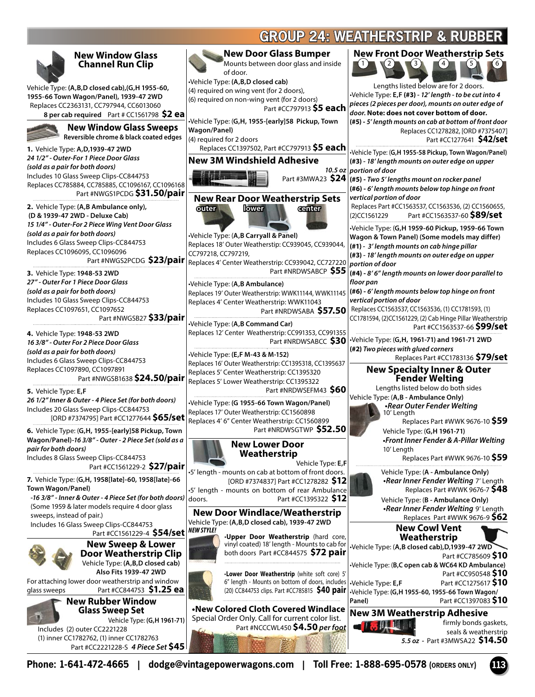## **GROUP 24: WEATHERSTRIP & RUBBER**

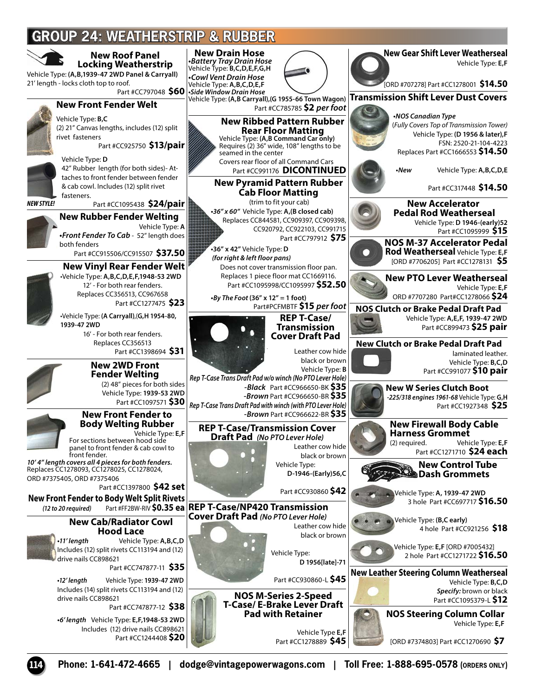## **GROUP 24: WEATHERSTRIP & RUBBER**